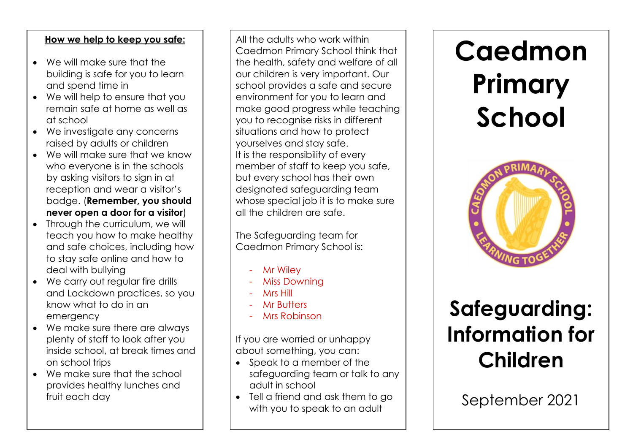#### **How we help to keep you safe:**

- We will make sure that the building is safe for you to learn and spend time in
- We will help to ensure that you remain safe at home as well as at school
- We investigate any concerns raised by adults or children
- We will make sure that we know who everyone is in the schools by asking visitors to sign in at reception and wear a visitor's badge. (**Remember, you should never open a door for a visitor**)
- Through the curriculum, we will teach you how to make healthy and safe choices, including how to stay safe online and how to deal with bullying
- We carry out regular fire drills and Lockdown practices, so you know what to do in an emergency
- We make sure there are always plenty of staff to look after you inside school, at break times and on school trips
- We make sure that the school provides healthy lunches and fruit each day

All the adults who work within Caedmon Primary School think that the health, safety and welfare of all our children is very important. Our school provides a safe and secure environment for you to learn and make good progress while teaching you to recognise risks in different situations and how to protect yourselves and stay safe. It is the responsibility of every member of staff to keep you safe, but every school has their own designated safeguarding team whose special job it is to make sure all the children are safe.

The Safeguarding team for Caedmon Primary School is:

- **Mr Wiley**
- **Miss Downing**
- **Mrs Hill**
- **Mr Butters**
- **Mrs Robinson**

If you are worried or unhappy about something, you can:

- Speak to a member of the safeguarding team or talk to any adult in school
- Tell a friend and ask them to go with you to speak to an adult

# **Caedmon Primary School**



## **Safeguarding: Information for Children**

September 2021